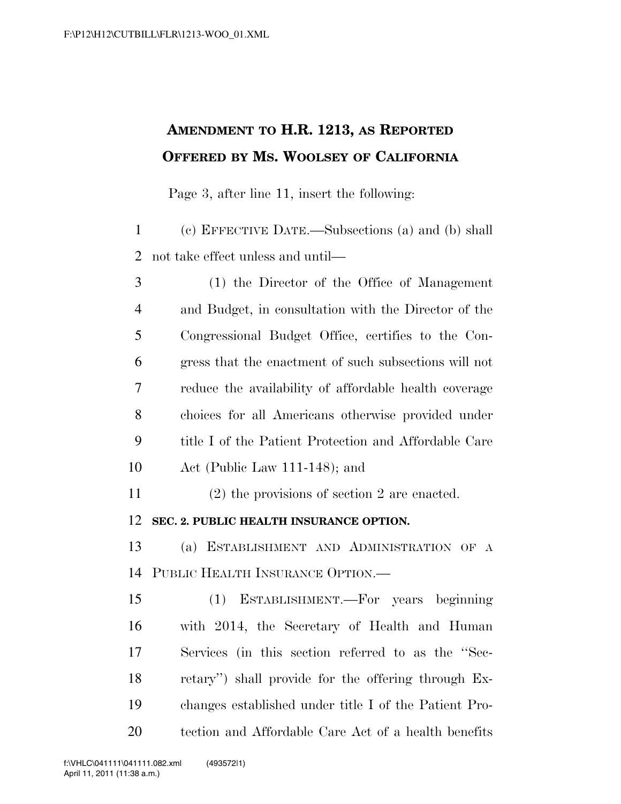## **AMENDMENT TO H.R. 1213, AS REPORTED OFFERED BY MS. WOOLSEY OF CALIFORNIA**

Page 3, after line 11, insert the following:

 (c) EFFECTIVE DATE.—Subsections (a) and (b) shall not take effect unless and until—

 (1) the Director of the Office of Management and Budget, in consultation with the Director of the Congressional Budget Office, certifies to the Con- gress that the enactment of such subsections will not reduce the availability of affordable health coverage choices for all Americans otherwise provided under title I of the Patient Protection and Affordable Care Act (Public Law 111-148); and

(2) the provisions of section 2 are enacted.

**SEC. 2. PUBLIC HEALTH INSURANCE OPTION.** 

 (a) ESTABLISHMENT AND ADMINISTRATION OF A PUBLIC HEALTH INSURANCE OPTION.—

 (1) ESTABLISHMENT.—For years beginning with 2014, the Secretary of Health and Human Services (in this section referred to as the ''Sec- retary'') shall provide for the offering through Ex- changes established under title I of the Patient Pro-tection and Affordable Care Act of a health benefits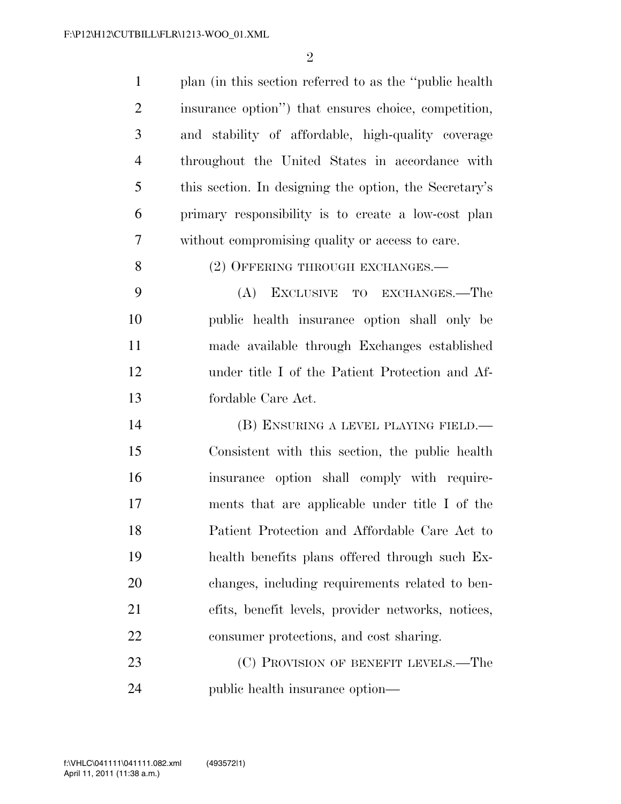| $\mathbf{1}$   | plan (in this section referred to as the "public health") |
|----------------|-----------------------------------------------------------|
| $\overline{2}$ | insurance option") that ensures choice, competition,      |
| 3              | and stability of affordable, high-quality coverage        |
| $\overline{4}$ | throughout the United States in accordance with           |
| 5              | this section. In designing the option, the Secretary's    |
| 6              | primary responsibility is to create a low-cost plan       |
| 7              | without compromising quality or access to care.           |
| 8              | (2) OFFERING THROUGH EXCHANGES.—                          |
| 9              | (A)<br>EXCLUSIVE TO EXCHANGES.—The                        |
| 10             | public health insurance option shall only be              |
| 11             | made available through Exchanges established              |
| 12             | under title I of the Patient Protection and Af-           |
| 13             | fordable Care Act.                                        |
| 14             | (B) ENSURING A LEVEL PLAYING FIELD.—                      |
| 15             | Consistent with this section, the public health           |
| 16             | insurance option shall comply with require-               |
| 17             | ments that are applicable under title I of the            |
| 18             | Patient Protection and Affordable Care Act to             |
| 19             | health benefits plans offered through such Ex-            |
| 20             | changes, including requirements related to ben-           |
| 21             | efits, benefit levels, provider networks, notices,        |
| 22             | consumer protections, and cost sharing.                   |
| 23             | (C) PROVISION OF BENEFIT LEVELS.—The                      |
| 24             | public health insurance option—                           |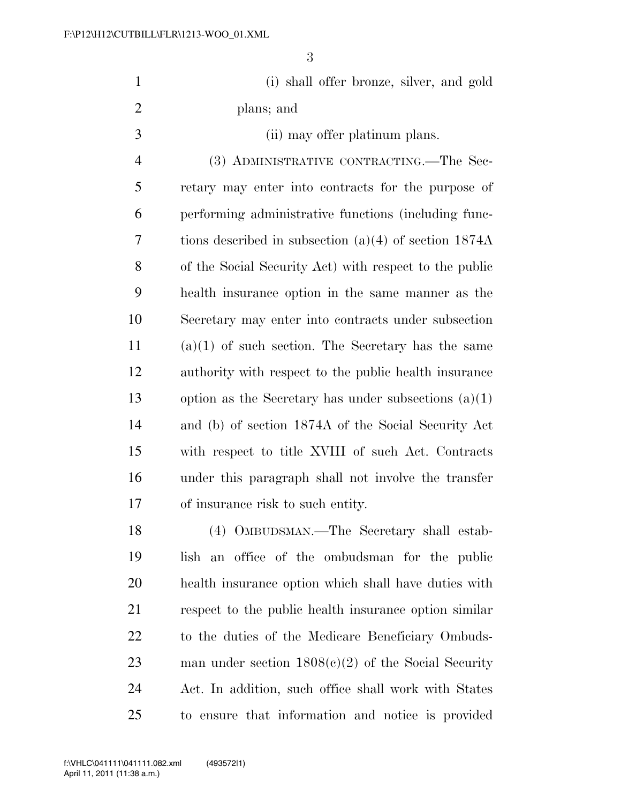| $\mathbf{1}$   | (i) shall offer bronze, silver, and gold                |
|----------------|---------------------------------------------------------|
| $\overline{2}$ | plans; and                                              |
| 3              | (ii) may offer platinum plans.                          |
| $\overline{4}$ | (3) ADMINISTRATIVE CONTRACTING.—The Sec-                |
| 5              | retary may enter into contracts for the purpose of      |
| 6              | performing administrative functions (including func-    |
| 7              | tions described in subsection $(a)(4)$ of section 1874A |
| 8              | of the Social Security Act) with respect to the public  |
| 9              | health insurance option in the same manner as the       |
| 10             | Secretary may enter into contracts under subsection     |
| 11             | $(a)(1)$ of such section. The Secretary has the same    |
| 12             | authority with respect to the public health insurance   |
| 13             | option as the Secretary has under subsections $(a)(1)$  |
| 14             | and (b) of section 1874A of the Social Security Act     |
| 15             | with respect to title XVIII of such Act. Contracts      |
| 16             | under this paragraph shall not involve the transfer     |
| 17             | of insurance risk to such entity.                       |
| 18             | (4) OMBUDSMAN.—The Secretary shall estab-               |
| 19             | lish an office of the ombudsman for the public          |
| 20             | health insurance option which shall have duties with    |
| 21             | respect to the public health insurance option similar   |
|                |                                                         |

 to the duties of the Medicare Beneficiary Ombuds- man under section 1808(c)(2) of the Social Security Act. In addition, such office shall work with States to ensure that information and notice is provided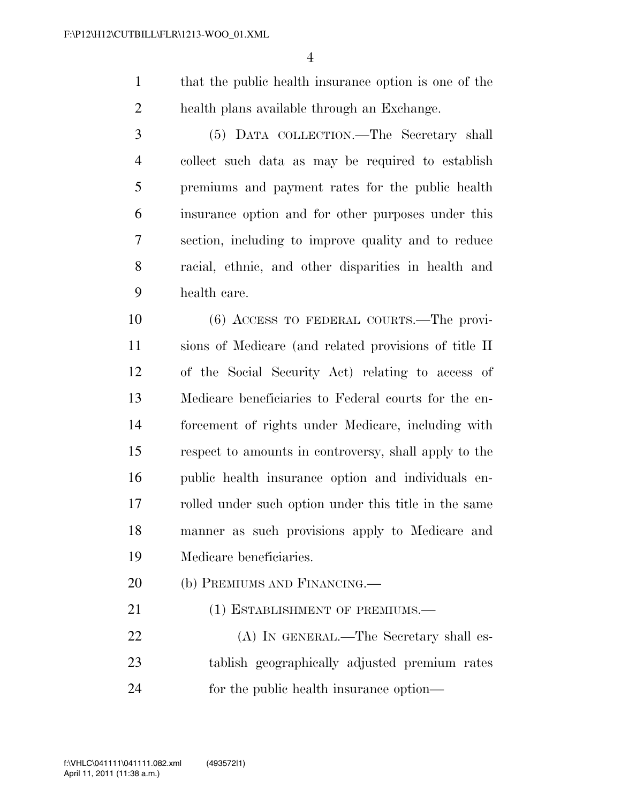that the public health insurance option is one of the health plans available through an Exchange.

 (5) DATA COLLECTION.—The Secretary shall collect such data as may be required to establish premiums and payment rates for the public health insurance option and for other purposes under this section, including to improve quality and to reduce racial, ethnic, and other disparities in health and health care.

 (6) ACCESS TO FEDERAL COURTS.—The provi- sions of Medicare (and related provisions of title II of the Social Security Act) relating to access of Medicare beneficiaries to Federal courts for the en- forcement of rights under Medicare, including with respect to amounts in controversy, shall apply to the public health insurance option and individuals en- rolled under such option under this title in the same manner as such provisions apply to Medicare and Medicare beneficiaries.

- 20 (b) PREMIUMS AND FINANCING.—
- 21 (1) ESTABLISHMENT OF PREMIUMS.—

22 (A) IN GENERAL.—The Secretary shall es- tablish geographically adjusted premium rates for the public health insurance option—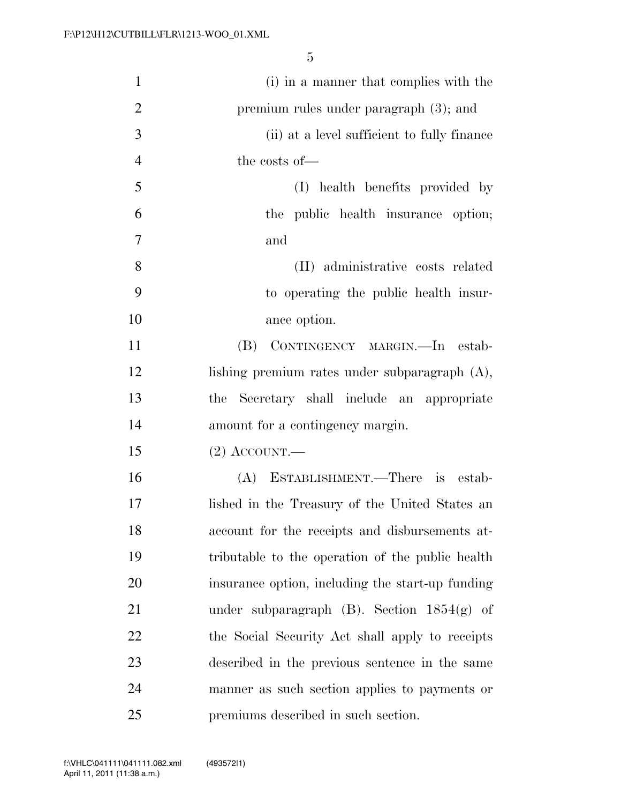| $\mathbf{1}$   | (i) in a manner that complies with the           |
|----------------|--------------------------------------------------|
| $\overline{2}$ | premium rules under paragraph $(3)$ ; and        |
| 3              | (ii) at a level sufficient to fully finance      |
| $\overline{4}$ | the costs of-                                    |
| 5              | (I) health benefits provided by                  |
| 6              | the public health insurance option;              |
| $\overline{7}$ | and                                              |
| 8              | (II) administrative costs related                |
| 9              | to operating the public health insur-            |
| 10             | ance option.                                     |
| 11             | (B) CONTINGENCY MARGIN.—In estab-                |
| 12             | lishing premium rates under subparagraph $(A)$ , |
| 13             | Secretary shall include an appropriate<br>the    |
| 14             | amount for a contingency margin.                 |
| 15             | $(2)$ ACCOUNT.—                                  |
| 16             | (A) ESTABLISHMENT.—There is estab-               |
| 17             | lished in the Treasury of the United States an   |
| 18             | account for the receipts and disbursements at-   |
| 19             | tributable to the operation of the public health |
| 20             | insurance option, including the start-up funding |
| 21             | under subparagraph $(B)$ . Section $1854(g)$ of  |
| 22             | the Social Security Act shall apply to receipts  |
| 23             | described in the previous sentence in the same   |
| 24             | manner as such section applies to payments or    |
| 25             | premiums described in such section.              |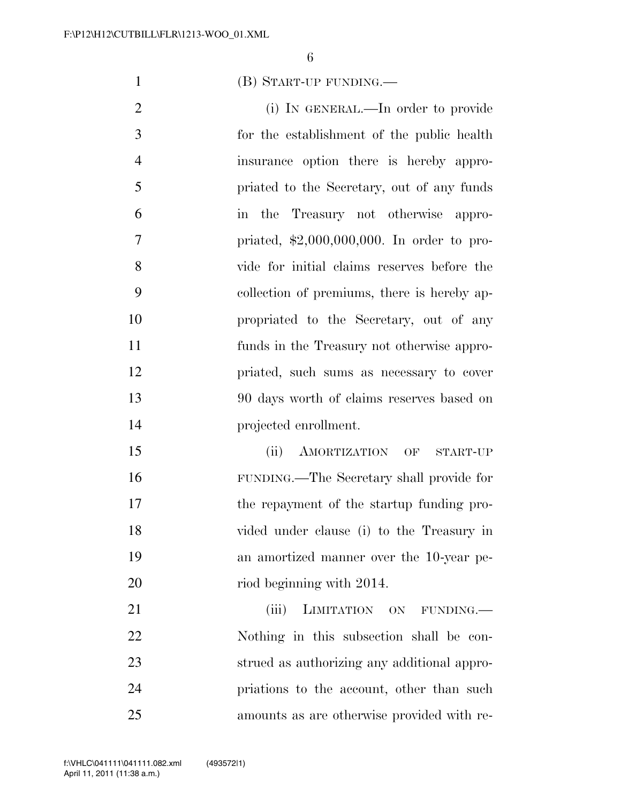(B) START-UP FUNDING.—

2 (i) IN GENERAL.—In order to provide for the establishment of the public health insurance option there is hereby appro- priated to the Secretary, out of any funds in the Treasury not otherwise appro- priated, \$2,000,000,000. In order to pro- vide for initial claims reserves before the collection of premiums, there is hereby ap- propriated to the Secretary, out of any funds in the Treasury not otherwise appro- priated, such sums as necessary to cover 90 days worth of claims reserves based on projected enrollment.

 (ii) AMORTIZATION OF START-UP FUNDING.—The Secretary shall provide for the repayment of the startup funding pro- vided under clause (i) to the Treasury in an amortized manner over the 10-year pe-20 riod beginning with 2014.

21 (iii) LIMITATION ON FUNDING.— Nothing in this subsection shall be con- strued as authorizing any additional appro- priations to the account, other than such amounts as are otherwise provided with re-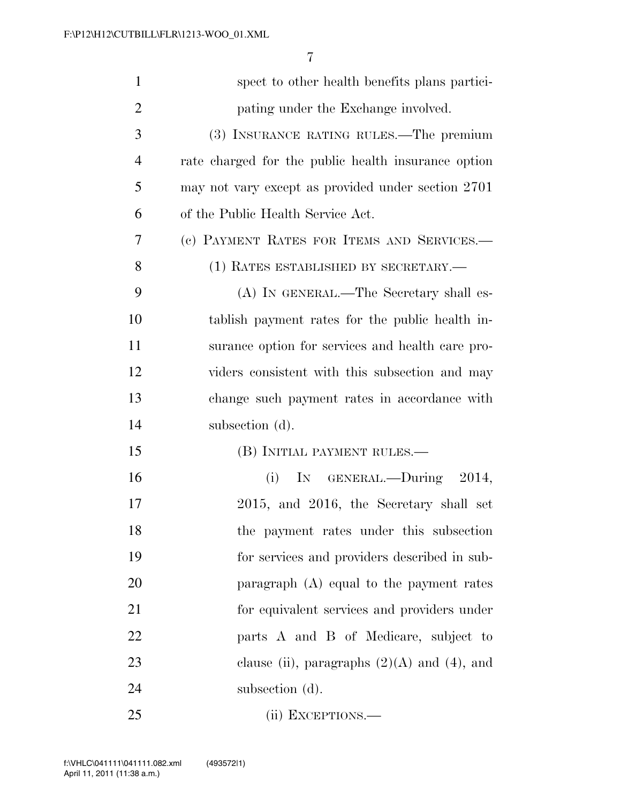| $\mathbf{1}$   | spect to other health benefits plans partici-       |
|----------------|-----------------------------------------------------|
| 2              | pating under the Exchange involved.                 |
| 3              | (3) INSURANCE RATING RULES.—The premium             |
| $\overline{4}$ | rate charged for the public health insurance option |
| 5              | may not vary except as provided under section 2701  |
| 6              | of the Public Health Service Act.                   |
| 7              | (c) PAYMENT RATES FOR ITEMS AND SERVICES.-          |
| 8              | (1) RATES ESTABLISHED BY SECRETARY.-                |
| 9              | (A) IN GENERAL.—The Secretary shall es-             |
| 10             | tablish payment rates for the public health in-     |
| 11             | surance option for services and health care pro-    |
| 12             | viders consistent with this subsection and may      |
| 13             | change such payment rates in accordance with        |
| 14             | subsection (d).                                     |
| 15             | (B) INITIAL PAYMENT RULES.—                         |
| 16             | (i) IN GENERAL.—During $2014$ ,                     |
| 17             | 2015, and 2016, the Secretary shall set             |
| 18             | the payment rates under this subsection             |
| 19             | for services and providers described in sub-        |
| 20             | paragraph $(A)$ equal to the payment rates          |
| 21             | for equivalent services and providers under         |
| 22             | parts A and B of Medicare, subject to               |
| 23             | clause (ii), paragraphs $(2)(A)$ and $(4)$ , and    |
| 24             | subsection (d).                                     |
| 25             | (ii) EXCEPTIONS.-                                   |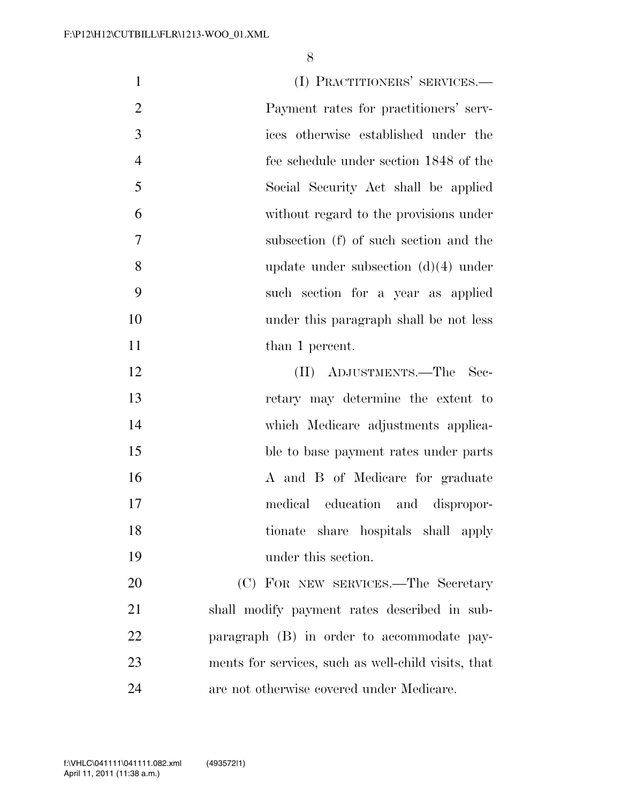1 (I) PRACTITIONERS' SERVICES.— Payment rates for practitioners' serv- ices otherwise established under the fee schedule under section 1848 of the Social Security Act shall be applied without regard to the provisions under subsection (f) of such section and the update under subsection (d)(4) under such section for a year as applied under this paragraph shall be not less 11 than 1 percent. (II) ADJUSTMENTS.—The Sec- retary may determine the extent to which Medicare adjustments applica-15 ble to base payment rates under parts 16 A and B of Medicare for graduate medical education and dispropor- tionate share hospitals shall apply under this section. (C) FOR NEW SERVICES.—The Secretary shall modify payment rates described in sub- paragraph (B) in order to accommodate pay- ments for services, such as well-child visits, that are not otherwise covered under Medicare.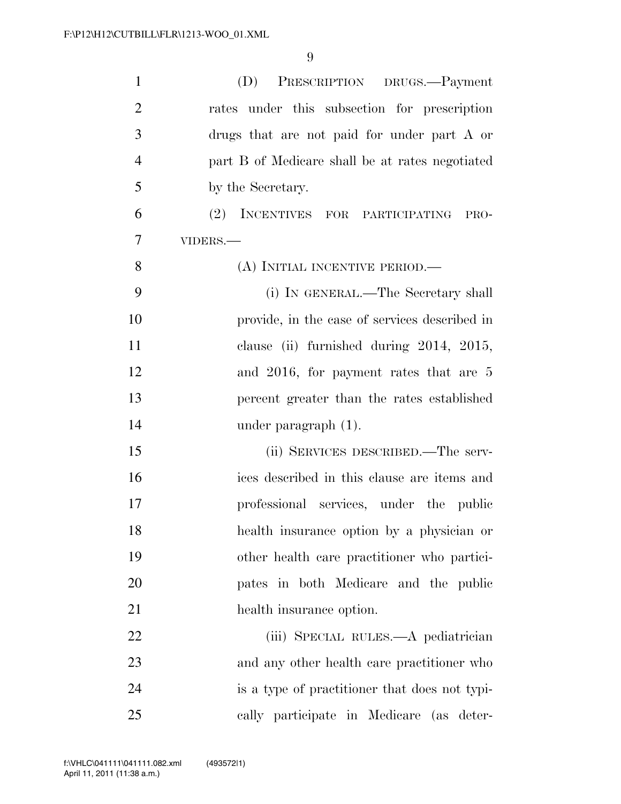| $\mathbf{1}$   | PRESCRIPTION DRUGS.-Payment<br>(D)              |
|----------------|-------------------------------------------------|
| $\overline{2}$ | rates under this subsection for prescription    |
| 3              | drugs that are not paid for under part A or     |
| $\overline{4}$ | part B of Medicare shall be at rates negotiated |
| 5              | by the Secretary.                               |
| 6              | (2) INCENTIVES FOR PARTICIPATING<br>PRO-        |
| 7              | VIDERS.-                                        |
| 8              | (A) INITIAL INCENTIVE PERIOD.—                  |
| 9              | (i) IN GENERAL.—The Secretary shall             |
| 10             | provide, in the case of services described in   |
| 11             | clause (ii) furnished during 2014, 2015,        |
| 12             | and 2016, for payment rates that are 5          |
| 13             | percent greater than the rates established      |
| 14             | under paragraph $(1)$ .                         |
| 15             | (ii) SERVICES DESCRIBED.—The serv-              |
| 16             | ices described in this clause are items and     |
| 17             | professional services, under the public         |
| 18             | health insurance option by a physician or       |
| 19             | other health care practitioner who partici-     |
| 20             | pates in both Medicare and the public           |
| 21             | health insurance option.                        |
| 22             | (iii) SPECIAL RULES.—A pediatrician             |
| 23             | and any other health care practitioner who      |
| 24             | is a type of practitioner that does not typi-   |
| 25             | cally participate in Medicare (as deter-        |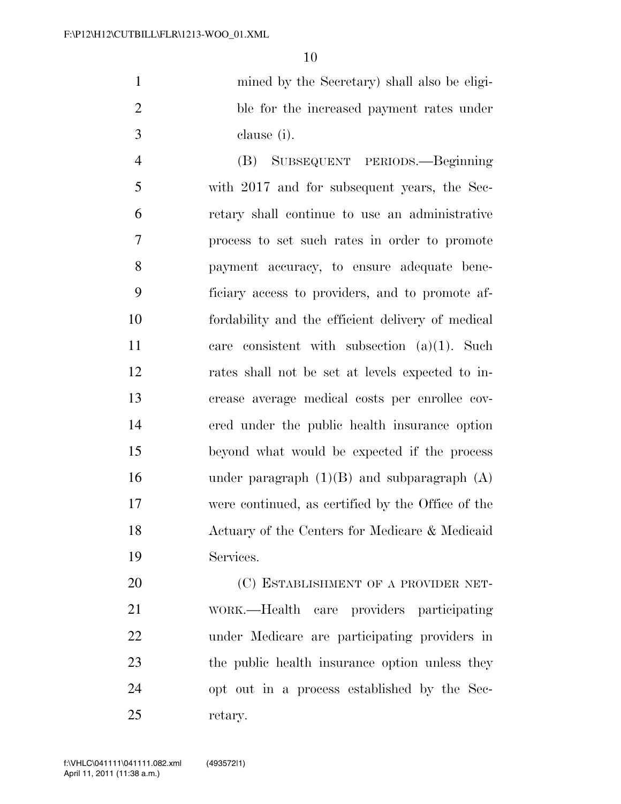mined by the Secretary) shall also be eligi- ble for the increased payment rates under clause (i).

 (B) SUBSEQUENT PERIODS.—Beginning with 2017 and for subsequent years, the Sec- retary shall continue to use an administrative process to set such rates in order to promote payment accuracy, to ensure adequate bene- ficiary access to providers, and to promote af- fordability and the efficient delivery of medical care consistent with subsection (a)(1). Such rates shall not be set at levels expected to in- crease average medical costs per enrollee cov- ered under the public health insurance option beyond what would be expected if the process 16 under paragraph  $(1)(B)$  and subparagraph  $(A)$  were continued, as certified by the Office of the Actuary of the Centers for Medicare & Medicaid Services.

20 (C) ESTABLISHMENT OF A PROVIDER NET- WORK.—Health care providers participating under Medicare are participating providers in 23 the public health insurance option unless they opt out in a process established by the Sec-retary.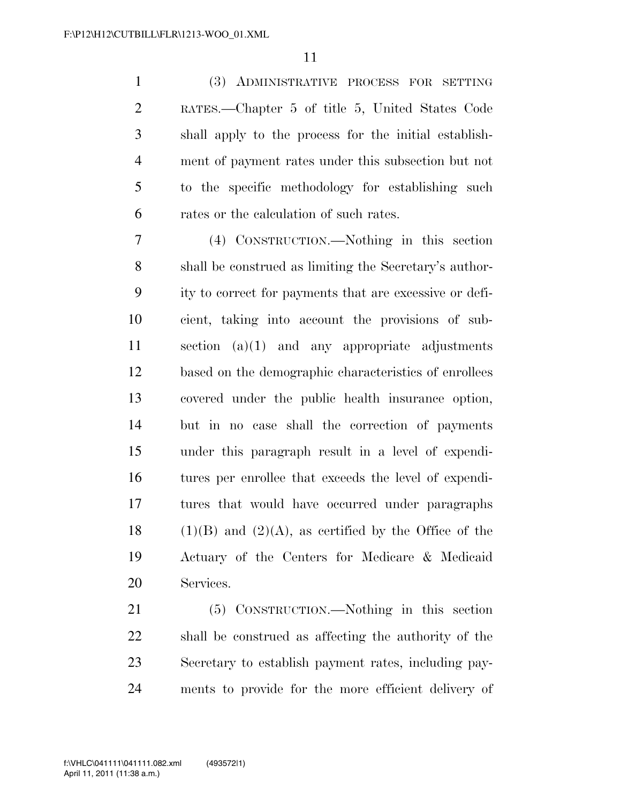(3) ADMINISTRATIVE PROCESS FOR SETTING RATES.—Chapter 5 of title 5, United States Code shall apply to the process for the initial establish- ment of payment rates under this subsection but not to the specific methodology for establishing such rates or the calculation of such rates.

 (4) CONSTRUCTION.—Nothing in this section shall be construed as limiting the Secretary's author- ity to correct for payments that are excessive or defi- cient, taking into account the provisions of sub- section (a)(1) and any appropriate adjustments based on the demographic characteristics of enrollees covered under the public health insurance option, but in no case shall the correction of payments under this paragraph result in a level of expendi- tures per enrollee that exceeds the level of expendi- tures that would have occurred under paragraphs 18 (1)(B) and (2)(A), as certified by the Office of the Actuary of the Centers for Medicare & Medicaid Services.

 (5) CONSTRUCTION.—Nothing in this section shall be construed as affecting the authority of the Secretary to establish payment rates, including pay-ments to provide for the more efficient delivery of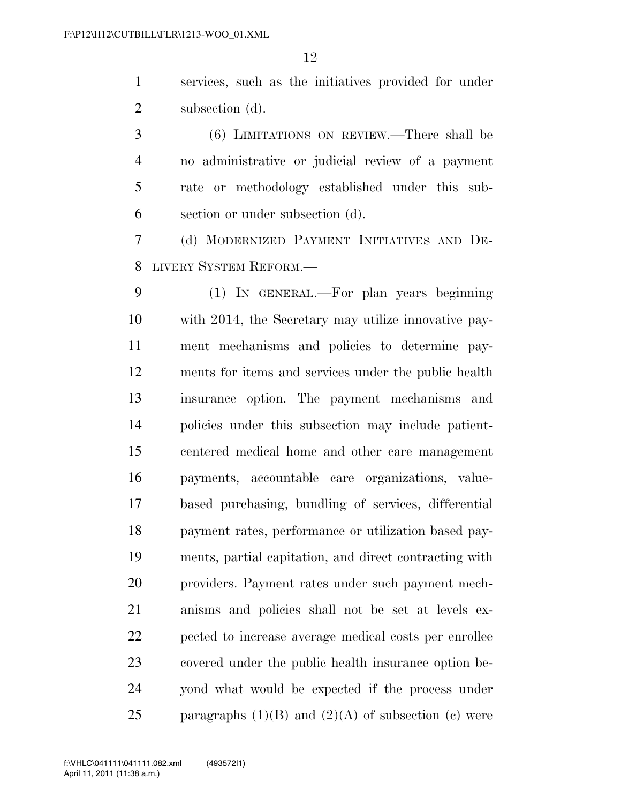services, such as the initiatives provided for under 2 subsection (d).

 (6) LIMITATIONS ON REVIEW.—There shall be no administrative or judicial review of a payment rate or methodology established under this sub-section or under subsection (d).

 (d) MODERNIZED PAYMENT INITIATIVES AND DE-LIVERY SYSTEM REFORM.—

 (1) IN GENERAL.—For plan years beginning with 2014, the Secretary may utilize innovative pay- ment mechanisms and policies to determine pay- ments for items and services under the public health insurance option. The payment mechanisms and policies under this subsection may include patient- centered medical home and other care management payments, accountable care organizations, value- based purchasing, bundling of services, differential payment rates, performance or utilization based pay- ments, partial capitation, and direct contracting with providers. Payment rates under such payment mech- anisms and policies shall not be set at levels ex- pected to increase average medical costs per enrollee covered under the public health insurance option be- yond what would be expected if the process under 25 paragraphs  $(1)(B)$  and  $(2)(A)$  of subsection (c) were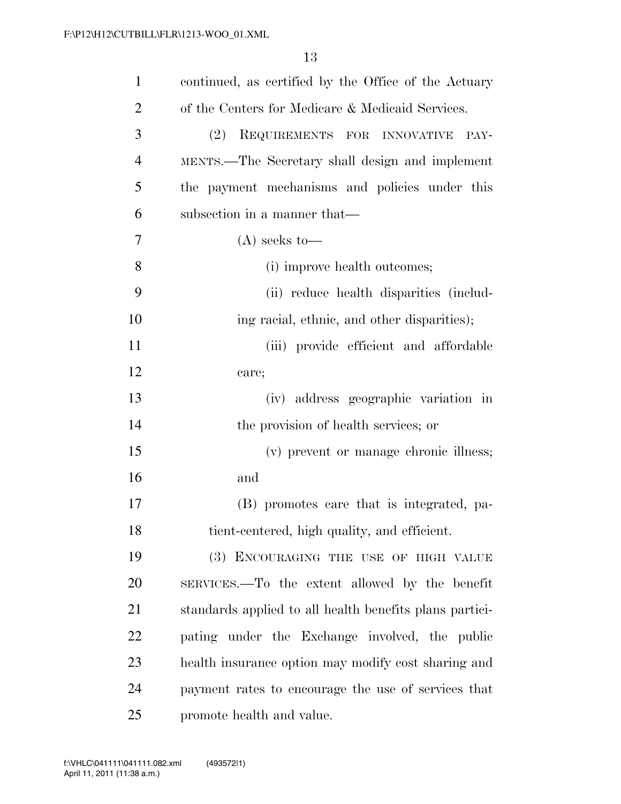| $\mathbf{1}$   | continued, as certified by the Office of the Actuary    |
|----------------|---------------------------------------------------------|
| $\overline{2}$ | of the Centers for Medicare & Medicaid Services.        |
| 3              | (2)<br>REQUIREMENTS FOR INNOVATIVE<br>PAY-              |
| $\overline{4}$ | MENTS.—The Secretary shall design and implement         |
| 5              | the payment mechanisms and policies under this          |
| 6              | subsection in a manner that—                            |
| 7              | $(A)$ seeks to-                                         |
| 8              | (i) improve health outcomes;                            |
| 9              | (ii) reduce health disparities (includ-                 |
| 10             | ing racial, ethnic, and other disparities);             |
| 11             | (iii) provide efficient and affordable                  |
| 12             | care;                                                   |
| 13             | (iv) address geographic variation in                    |
| 14             | the provision of health services; or                    |
| 15             | (v) prevent or manage chronic illness;                  |
| 16             | and                                                     |
| 17             | (B) promotes care that is integrated, pa-               |
| 18             | tient-centered, high quality, and efficient.            |
| 19             | (3) ENCOURAGING THE USE OF HIGH VALUE                   |
| 20             | SERVICES.—To the extent allowed by the benefit          |
| 21             | standards applied to all health benefits plans partici- |
| 22             | pating under the Exchange involved, the public          |
| 23             | health insurance option may modify cost sharing and     |
| 24             | payment rates to encourage the use of services that     |
| 25             | promote health and value.                               |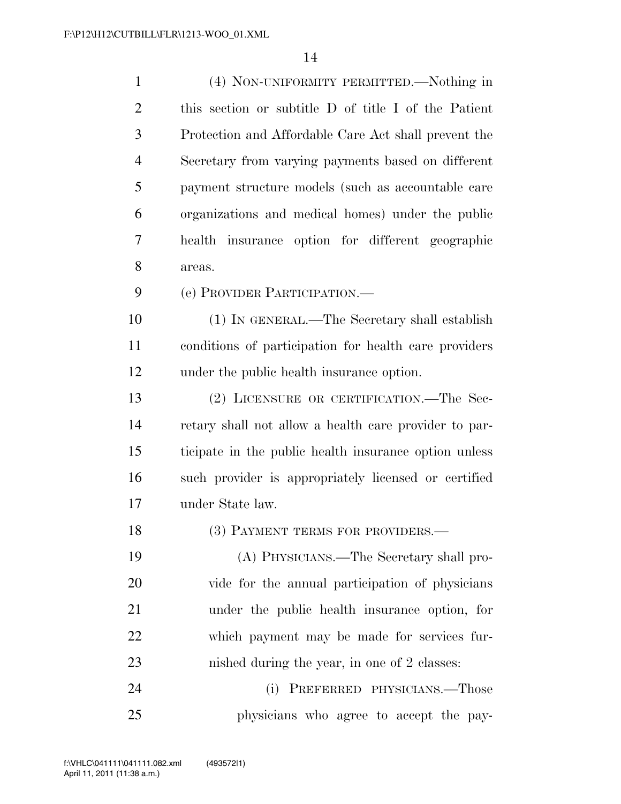(4) NON-UNIFORMITY PERMITTED.—Nothing in this section or subtitle D of title I of the Patient Protection and Affordable Care Act shall prevent the Secretary from varying payments based on different payment structure models (such as accountable care organizations and medical homes) under the public health insurance option for different geographic areas. (e) PROVIDER PARTICIPATION.— (1) IN GENERAL.—The Secretary shall establish

under the public health insurance option.

 (2) LICENSURE OR CERTIFICATION.—The Sec- retary shall not allow a health care provider to par- ticipate in the public health insurance option unless such provider is appropriately licensed or certified under State law.

conditions of participation for health care providers

18 (3) PAYMENT TERMS FOR PROVIDERS.—

 (A) PHYSICIANS.—The Secretary shall pro- vide for the annual participation of physicians under the public health insurance option, for which payment may be made for services fur-nished during the year, in one of 2 classes:

 (i) PREFERRED PHYSICIANS.—Those physicians who agree to accept the pay-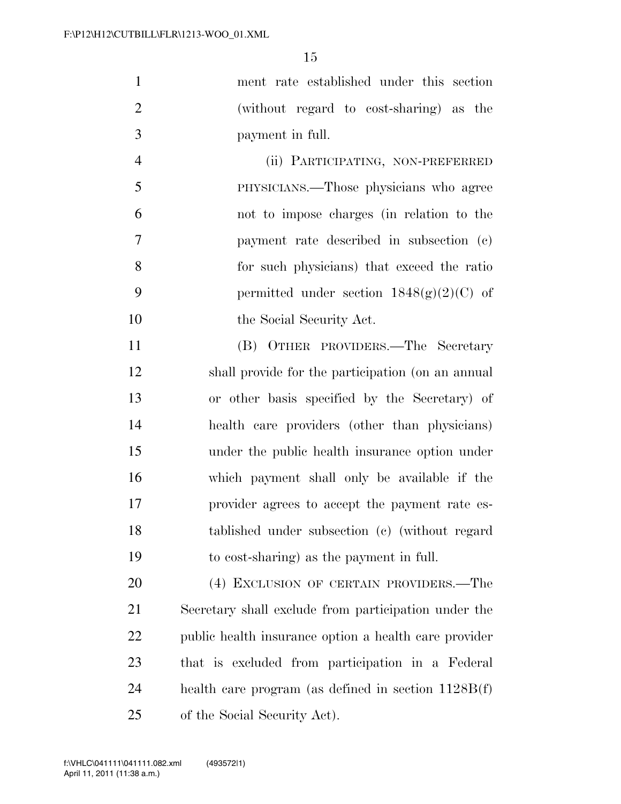| 1              | ment rate established under this section          |
|----------------|---------------------------------------------------|
| 2              | (without regard to cost-sharing) as the           |
| 3              | payment in full.                                  |
| $\overline{4}$ | (ii) PARTICIPATING, NON-PREFERRED                 |
| 5              | PHYSICIANS.—Those physicians who agree            |
| 6              | not to impose charges (in relation to the         |
| $\overline{7}$ | payment rate described in subsection (c)          |
| 8              | for such physicians) that exceed the ratio        |
| 9              | permitted under section $1848(g)(2)(C)$ of        |
| 10             | the Social Security Act.                          |
| 11             | (B) OTHER PROVIDERS.—The Secretary                |
| 12             | shall provide for the participation (on an annual |
|                |                                                   |

 or other basis specified by the Secretary) of health care providers (other than physicians) under the public health insurance option under which payment shall only be available if the provider agrees to accept the payment rate es- tablished under subsection (c) (without regard to cost-sharing) as the payment in full.

 (4) EXCLUSION OF CERTAIN PROVIDERS.—The Secretary shall exclude from participation under the public health insurance option a health care provider that is excluded from participation in a Federal health care program (as defined in section 1128B(f) of the Social Security Act).